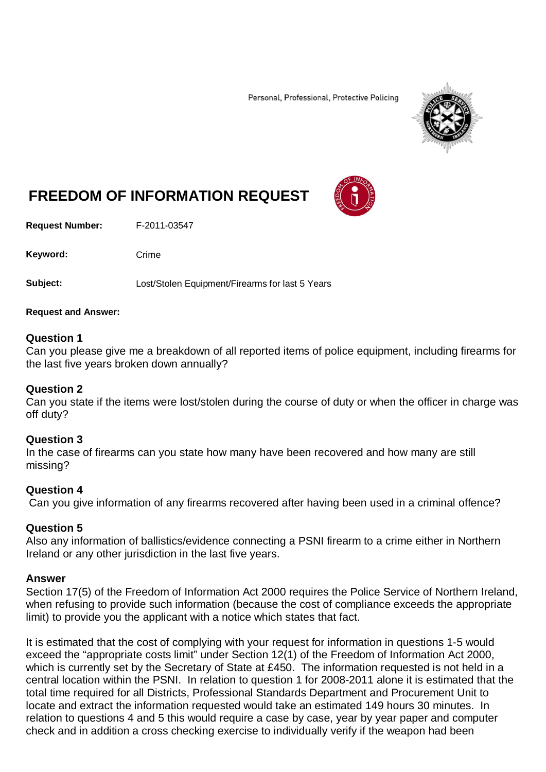Personal, Professional, Protective Policing



# **FREEDOM OF INFORMATION REQUEST**

**Request Number:** F-2011-03547

Keyword: Crime

**Subject:** Lost/Stolen Equipment/Firearms for last 5 Years

#### **Request and Answer:**

#### **Question 1**

Can you please give me a breakdown of all reported items of police equipment, including firearms for the last five years broken down annually?

#### **Question 2**

Can you state if the items were lost/stolen during the course of duty or when the officer in charge was off duty?

#### **Question 3**

In the case of firearms can you state how many have been recovered and how many are still missing?

#### **Question 4**

Can you give information of any firearms recovered after having been used in a criminal offence?

### **Question 5**

Also any information of ballistics/evidence connecting a PSNI firearm to a crime either in Northern Ireland or any other jurisdiction in the last five years.

#### **Answer**

Section 17(5) of the Freedom of Information Act 2000 requires the Police Service of Northern Ireland, when refusing to provide such information (because the cost of compliance exceeds the appropriate limit) to provide you the applicant with a notice which states that fact.

It is estimated that the cost of complying with your request for information in questions 1-5 would exceed the "appropriate costs limit" under Section 12(1) of the Freedom of Information Act 2000, which is currently set by the Secretary of State at £450. The information requested is not held in a central location within the PSNI. In relation to question 1 for 2008-2011 alone it is estimated that the total time required for all Districts, Professional Standards Department and Procurement Unit to locate and extract the information requested would take an estimated 149 hours 30 minutes. In relation to questions 4 and 5 this would require a case by case, year by year paper and computer check and in addition a cross checking exercise to individually verify if the weapon had been